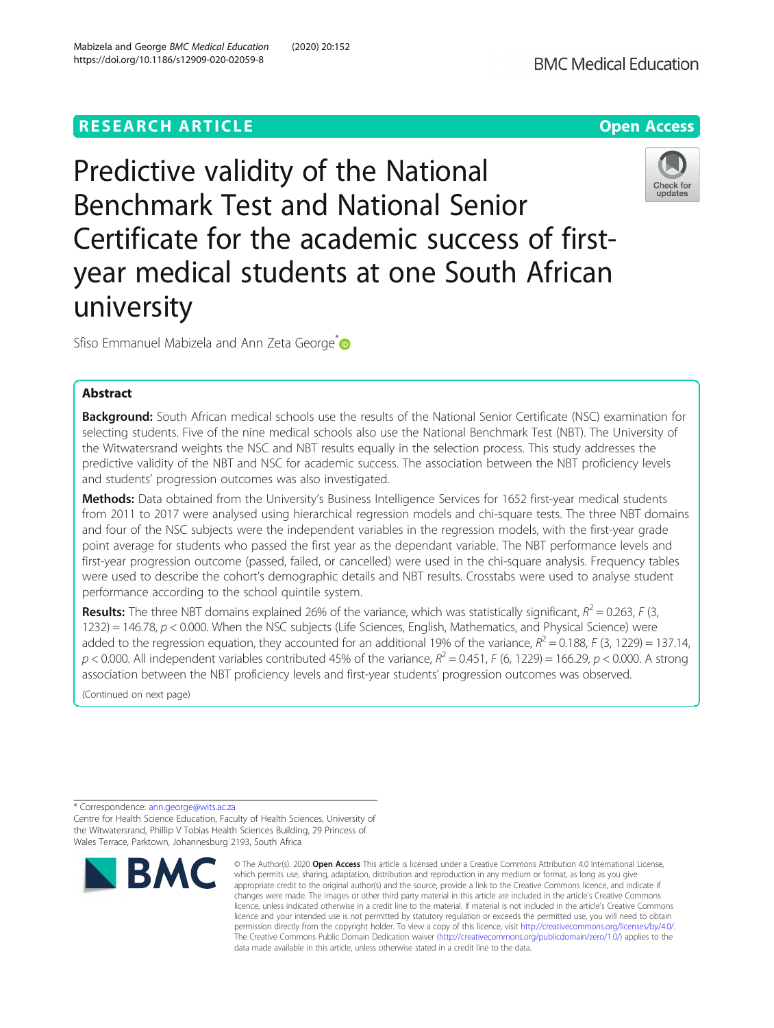# **RESEARCH ARTICLE Example 2014 12:30 The Open Access**

# Predictive validity of the National Benchmark Test and National Senior Certificate for the academic success of firstyear medical students at one South African university

Sfiso Emmanuel Mabizela and Ann Zeta George<sup>\*</sup>

# Abstract

Background: South African medical schools use the results of the National Senior Certificate (NSC) examination for selecting students. Five of the nine medical schools also use the National Benchmark Test (NBT). The University of the Witwatersrand weights the NSC and NBT results equally in the selection process. This study addresses the predictive validity of the NBT and NSC for academic success. The association between the NBT proficiency levels and students' progression outcomes was also investigated.

Methods: Data obtained from the University's Business Intelligence Services for 1652 first-year medical students from 2011 to 2017 were analysed using hierarchical regression models and chi-square tests. The three NBT domains and four of the NSC subjects were the independent variables in the regression models, with the first-year grade point average for students who passed the first year as the dependant variable. The NBT performance levels and first-year progression outcome (passed, failed, or cancelled) were used in the chi-square analysis. Frequency tables were used to describe the cohort's demographic details and NBT results. Crosstabs were used to analyse student performance according to the school quintile system.

**Results:** The three NBT domains explained 26% of the variance, which was statistically significant,  $R^2 = 0.263$ , F (3,  $1232$ ) = 146.78,  $p < 0.000$ . When the NSC subjects (Life Sciences, English, Mathematics, and Physical Science) were added to the regression equation, they accounted for an additional 19% of the variance,  $R^2 = 0.188$ , F (3, 1229) = 137.14,  $p < 0.000$ . All independent variables contributed 45% of the variance,  $R^2 = 0.451$ , F (6, 1229) = 166.29,  $p < 0.000$ . A strong association between the NBT proficiency levels and first-year students' progression outcomes was observed.

(Continued on next page)



© The Author(s), 2020 **Open Access** This article is licensed under a Creative Commons Attribution 4.0 International License,



<sup>\*</sup> Correspondence: [ann.george@wits.ac.za](mailto:ann.george@wits.ac.za)

Centre for Health Science Education, Faculty of Health Sciences, University of the Witwatersrand, Phillip V Tobias Health Sciences Building, 29 Princess of Wales Terrace, Parktown, Johannesburg 2193, South Africa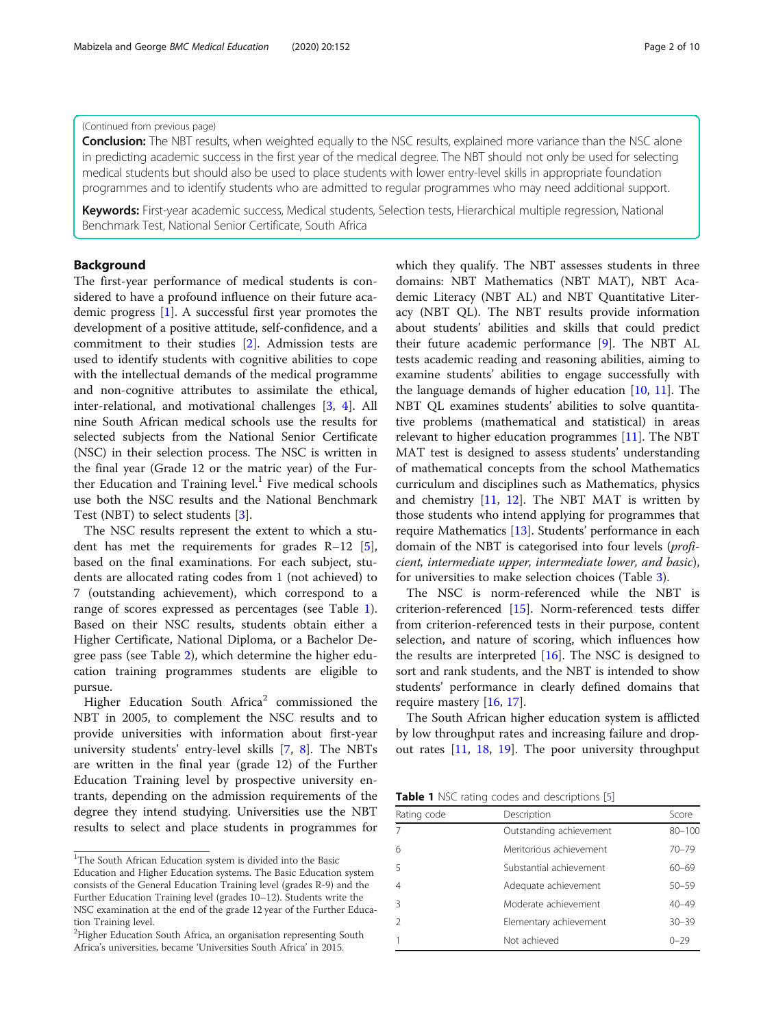#### (Continued from previous page)

Conclusion: The NBT results, when weighted equally to the NSC results, explained more variance than the NSC alone in predicting academic success in the first year of the medical degree. The NBT should not only be used for selecting medical students but should also be used to place students with lower entry-level skills in appropriate foundation programmes and to identify students who are admitted to regular programmes who may need additional support.

Keywords: First-year academic success, Medical students, Selection tests, Hierarchical multiple regression, National Benchmark Test, National Senior Certificate, South Africa

# Background

The first-year performance of medical students is considered to have a profound influence on their future academic progress [\[1](#page-8-0)]. A successful first year promotes the development of a positive attitude, self-confidence, and a commitment to their studies [[2\]](#page-9-0). Admission tests are used to identify students with cognitive abilities to cope with the intellectual demands of the medical programme and non-cognitive attributes to assimilate the ethical, inter-relational, and motivational challenges [\[3](#page-9-0), [4](#page-9-0)]. All nine South African medical schools use the results for selected subjects from the National Senior Certificate (NSC) in their selection process. The NSC is written in the final year (Grade 12 or the matric year) of the Further Education and Training level. $<sup>1</sup>$  Five medical schools</sup> use both the NSC results and the National Benchmark Test (NBT) to select students [[3\]](#page-9-0).

The NSC results represent the extent to which a student has met the requirements for grades R–12 [\[5](#page-9-0)], based on the final examinations. For each subject, students are allocated rating codes from 1 (not achieved) to 7 (outstanding achievement), which correspond to a range of scores expressed as percentages (see Table 1). Based on their NSC results, students obtain either a Higher Certificate, National Diploma, or a Bachelor Degree pass (see Table [2\)](#page-2-0), which determine the higher education training programmes students are eligible to pursue.

Higher Education South Africa<sup>2</sup> commissioned the NBT in 2005, to complement the NSC results and to provide universities with information about first-year university students' entry-level skills [[7,](#page-9-0) [8\]](#page-9-0). The NBTs are written in the final year (grade 12) of the Further Education Training level by prospective university entrants, depending on the admission requirements of the degree they intend studying. Universities use the NBT results to select and place students in programmes for which they qualify. The NBT assesses students in three domains: NBT Mathematics (NBT MAT), NBT Academic Literacy (NBT AL) and NBT Quantitative Literacy (NBT QL). The NBT results provide information about students' abilities and skills that could predict their future academic performance [\[9](#page-9-0)]. The NBT AL tests academic reading and reasoning abilities, aiming to examine students' abilities to engage successfully with the language demands of higher education [\[10](#page-9-0), [11](#page-9-0)]. The NBT QL examines students' abilities to solve quantitative problems (mathematical and statistical) in areas relevant to higher education programmes [\[11](#page-9-0)]. The NBT MAT test is designed to assess students' understanding of mathematical concepts from the school Mathematics curriculum and disciplines such as Mathematics, physics and chemistry [[11,](#page-9-0) [12\]](#page-9-0). The NBT MAT is written by those students who intend applying for programmes that require Mathematics [[13\]](#page-9-0). Students' performance in each domain of the NBT is categorised into four levels (*profi*cient, intermediate upper, intermediate lower, and basic), for universities to make selection choices (Table [3](#page-3-0)).

The NSC is norm-referenced while the NBT is criterion-referenced [\[15\]](#page-9-0). Norm-referenced tests differ from criterion-referenced tests in their purpose, content selection, and nature of scoring, which influences how the results are interpreted  $[16]$  $[16]$ . The NSC is designed to sort and rank students, and the NBT is intended to show students' performance in clearly defined domains that require mastery [\[16,](#page-9-0) [17\]](#page-9-0).

The South African higher education system is afflicted by low throughput rates and increasing failure and dropout rates [\[11,](#page-9-0) [18,](#page-9-0) [19](#page-9-0)]. The poor university throughput

**Table 1** NSC rating codes and descriptions [[5](#page-9-0)]

| Rating code    | Description             | Score      |
|----------------|-------------------------|------------|
| 7              | Outstanding achievement | $80 - 100$ |
| 6              | Meritorious achievement | $70 - 79$  |
| 5              | Substantial achievement | $60 - 69$  |
| $\overline{4}$ | Adequate achievement    | $50 - 59$  |
| 3              | Moderate achievement    | $40 - 49$  |
| $\mathfrak{D}$ | Elementary achievement  | $30 - 39$  |
| 1              | Not achieved            | $0 - 29$   |

<sup>&</sup>lt;sup>1</sup>The South African Education system is divided into the Basic Education and Higher Education systems. The Basic Education system consists of the General Education Training level (grades R-9) and the Further Education Training level (grades 10–12). Students write the NSC examination at the end of the grade 12 year of the Further Education Training level.

<sup>&</sup>lt;sup>2</sup>Higher Education South Africa, an organisation representing South Africa's universities, became 'Universities South Africa' in 2015.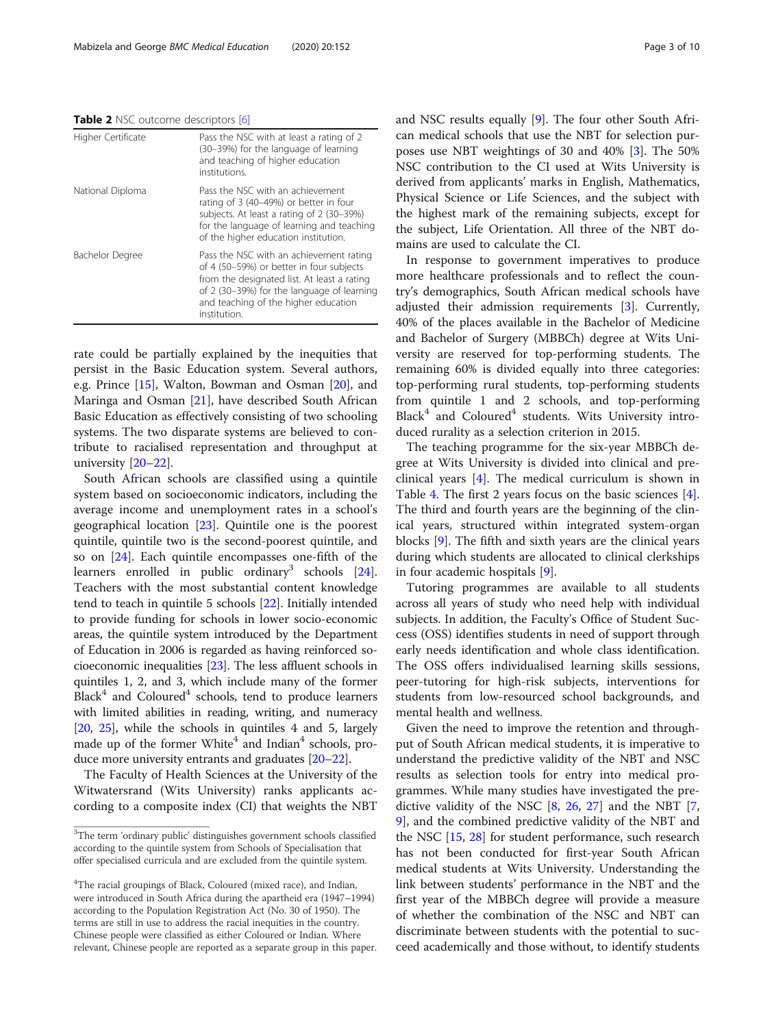<span id="page-2-0"></span>Table 2 NSC outcome descriptors [\[6](#page-9-0)]

| Higher Certificate | Pass the NSC with at least a rating of 2<br>(30-39%) for the language of learning<br>and teaching of higher education<br>institutions.                                                                                                   |
|--------------------|------------------------------------------------------------------------------------------------------------------------------------------------------------------------------------------------------------------------------------------|
| National Diploma   | Pass the NSC with an achievement<br>rating of 3 (40-49%) or better in four<br>subjects. At least a rating of 2 (30-39%)<br>for the language of learning and teaching<br>of the higher education institution.                             |
| Bachelor Degree    | Pass the NSC with an achievement rating<br>of 4 (50-59%) or better in four subjects<br>from the designated list. At least a rating<br>of 2 (30-39%) for the language of learning<br>and teaching of the higher education<br>institution. |

rate could be partially explained by the inequities that persist in the Basic Education system. Several authors, e.g. Prince [[15\]](#page-9-0), Walton, Bowman and Osman [[20](#page-9-0)], and Maringa and Osman [\[21](#page-9-0)], have described South African Basic Education as effectively consisting of two schooling systems. The two disparate systems are believed to contribute to racialised representation and throughput at university [[20](#page-9-0)–[22](#page-9-0)].

South African schools are classified using a quintile system based on socioeconomic indicators, including the average income and unemployment rates in a school's geographical location [\[23](#page-9-0)]. Quintile one is the poorest quintile, quintile two is the second-poorest quintile, and so on [\[24](#page-9-0)]. Each quintile encompasses one-fifth of the learners enrolled in public ordinary<sup>3</sup> schools  $[24]$  $[24]$ . Teachers with the most substantial content knowledge tend to teach in quintile 5 schools [[22\]](#page-9-0). Initially intended to provide funding for schools in lower socio-economic areas, the quintile system introduced by the Department of Education in 2006 is regarded as having reinforced socioeconomic inequalities [\[23\]](#page-9-0). The less affluent schools in quintiles 1, 2, and 3, which include many of the former Black<sup>4</sup> and Coloured<sup>4</sup> schools, tend to produce learners with limited abilities in reading, writing, and numeracy [[20](#page-9-0), [25\]](#page-9-0), while the schools in quintiles 4 and 5, largely made up of the former White $4$  and Indian $4$  schools, produce more university entrants and graduates [\[20](#page-9-0)–[22](#page-9-0)].

The Faculty of Health Sciences at the University of the Witwatersrand (Wits University) ranks applicants according to a composite index (CI) that weights the NBT and NSC results equally [[9\]](#page-9-0). The four other South African medical schools that use the NBT for selection purposes use NBT weightings of 30 and 40% [[3\]](#page-9-0). The 50% NSC contribution to the CI used at Wits University is derived from applicants' marks in English, Mathematics, Physical Science or Life Sciences, and the subject with the highest mark of the remaining subjects, except for the subject, Life Orientation. All three of the NBT domains are used to calculate the CI.

In response to government imperatives to produce more healthcare professionals and to reflect the country's demographics, South African medical schools have adjusted their admission requirements [[3\]](#page-9-0). Currently, 40% of the places available in the Bachelor of Medicine and Bachelor of Surgery (MBBCh) degree at Wits University are reserved for top-performing students. The remaining 60% is divided equally into three categories: top-performing rural students, top-performing students from quintile 1 and 2 schools, and top-performing  $Black<sup>4</sup>$  and Coloured<sup>4</sup> students. Wits University introduced rurality as a selection criterion in 2015.

The teaching programme for the six-year MBBCh degree at Wits University is divided into clinical and preclinical years [[4\]](#page-9-0). The medical curriculum is shown in Table [4.](#page-3-0) The first 2 years focus on the basic sciences [\[4](#page-9-0)]. The third and fourth years are the beginning of the clinical years, structured within integrated system-organ blocks [[9\]](#page-9-0). The fifth and sixth years are the clinical years during which students are allocated to clinical clerkships in four academic hospitals [\[9](#page-9-0)].

Tutoring programmes are available to all students across all years of study who need help with individual subjects. In addition, the Faculty's Office of Student Success (OSS) identifies students in need of support through early needs identification and whole class identification. The OSS offers individualised learning skills sessions, peer-tutoring for high-risk subjects, interventions for students from low-resourced school backgrounds, and mental health and wellness.

Given the need to improve the retention and throughput of South African medical students, it is imperative to understand the predictive validity of the NBT and NSC results as selection tools for entry into medical programmes. While many studies have investigated the predictive validity of the NSC [\[8](#page-9-0), [26](#page-9-0), [27](#page-9-0)] and the NBT [\[7](#page-9-0), [9\]](#page-9-0), and the combined predictive validity of the NBT and the NSC [\[15,](#page-9-0) [28\]](#page-9-0) for student performance, such research has not been conducted for first-year South African medical students at Wits University. Understanding the link between students' performance in the NBT and the first year of the MBBCh degree will provide a measure of whether the combination of the NSC and NBT can discriminate between students with the potential to succeed academically and those without, to identify students

 $\rm{^{3}The}$  term 'ordinary public' distinguishes government schools classified according to the quintile system from Schools of Specialisation that offer specialised curricula and are excluded from the quintile system.

<sup>&</sup>lt;sup>4</sup>The racial groupings of Black, Coloured (mixed race), and Indian, were introduced in South Africa during the apartheid era (1947–1994) according to the Population Registration Act (No. 30 of 1950). The terms are still in use to address the racial inequities in the country. Chinese people were classified as either Coloured or Indian. Where relevant, Chinese people are reported as a separate group in this paper.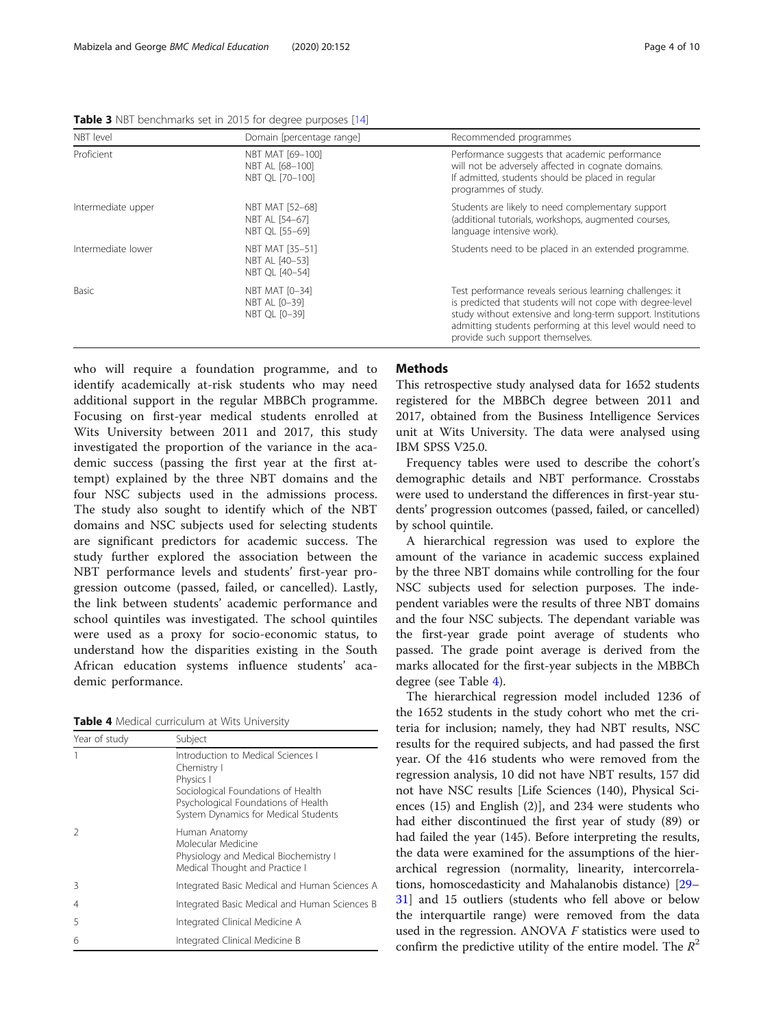<span id="page-3-0"></span>Table 3 NBT benchmarks set in 2015 for degree purposes [[14\]](#page-9-0)

| NBT level          | Domain [percentage range]                                                                                                                                                                                                                                                                                                                  | Recommended programmes                                                                                                                 |
|--------------------|--------------------------------------------------------------------------------------------------------------------------------------------------------------------------------------------------------------------------------------------------------------------------------------------------------------------------------------------|----------------------------------------------------------------------------------------------------------------------------------------|
| Proficient         | NBT MAT [69-100]<br>Performance suggests that academic performance<br>will not be adversely affected in cognate domains.<br>NBT AL [68-100]<br>If admitted, students should be placed in regular<br>NBT OL [70-100]<br>programmes of study.                                                                                                |                                                                                                                                        |
| Intermediate upper | NBT MAT [52-68]<br>NBT AL [54-67]<br>NBT QL [55-69]                                                                                                                                                                                                                                                                                        | Students are likely to need complementary support<br>(additional tutorials, workshops, augmented courses,<br>language intensive work). |
| Intermediate lower | NBT MAT [35-51]<br>NBT AL [40-53]<br>NBT OL [40-54]                                                                                                                                                                                                                                                                                        | Students need to be placed in an extended programme.                                                                                   |
| <b>Basic</b>       | NBT MAT [0-34]<br>Test performance reveals serious learning challenges: it<br>is predicted that students will not cope with degree-level<br>NBT AL [0-39]<br>study without extensive and long-term support. Institutions<br>NBT QL [0-39]<br>admitting students performing at this level would need to<br>provide such support themselves. |                                                                                                                                        |

who will require a foundation programme, and to identify academically at-risk students who may need additional support in the regular MBBCh programme. Focusing on first-year medical students enrolled at Wits University between 2011 and 2017, this study investigated the proportion of the variance in the academic success (passing the first year at the first attempt) explained by the three NBT domains and the four NSC subjects used in the admissions process. The study also sought to identify which of the NBT domains and NSC subjects used for selecting students are significant predictors for academic success. The study further explored the association between the NBT performance levels and students' first-year progression outcome (passed, failed, or cancelled). Lastly, the link between students' academic performance and school quintiles was investigated. The school quintiles were used as a proxy for socio-economic status, to understand how the disparities existing in the South African education systems influence students' academic performance.

Table 4 Medical curriculum at Wits University

| Year of study | Subject                                                                                                                                                                             |
|---------------|-------------------------------------------------------------------------------------------------------------------------------------------------------------------------------------|
|               | Introduction to Medical Sciences L<br>Chemistry I<br>Physics I<br>Sociological Foundations of Health<br>Psychological Foundations of Health<br>System Dynamics for Medical Students |
| 2             | Human Anatomy<br>Molecular Medicine<br>Physiology and Medical Biochemistry I<br>Medical Thought and Practice I                                                                      |
| 3             | Integrated Basic Medical and Human Sciences A                                                                                                                                       |
| 4             | Integrated Basic Medical and Human Sciences B                                                                                                                                       |
| 5             | Integrated Clinical Medicine A                                                                                                                                                      |
| 6             | Integrated Clinical Medicine B                                                                                                                                                      |

## **Methods**

This retrospective study analysed data for 1652 students registered for the MBBCh degree between 2011 and 2017, obtained from the Business Intelligence Services unit at Wits University. The data were analysed using IBM SPSS V25.0.

Frequency tables were used to describe the cohort's demographic details and NBT performance. Crosstabs were used to understand the differences in first-year students' progression outcomes (passed, failed, or cancelled) by school quintile.

A hierarchical regression was used to explore the amount of the variance in academic success explained by the three NBT domains while controlling for the four NSC subjects used for selection purposes. The independent variables were the results of three NBT domains and the four NSC subjects. The dependant variable was the first-year grade point average of students who passed. The grade point average is derived from the marks allocated for the first-year subjects in the MBBCh degree (see Table 4).

The hierarchical regression model included 1236 of the 1652 students in the study cohort who met the criteria for inclusion; namely, they had NBT results, NSC results for the required subjects, and had passed the first year. Of the 416 students who were removed from the regression analysis, 10 did not have NBT results, 157 did not have NSC results [Life Sciences (140), Physical Sciences (15) and English (2)], and 234 were students who had either discontinued the first year of study (89) or had failed the year (145). Before interpreting the results, the data were examined for the assumptions of the hierarchical regression (normality, linearity, intercorrelations, homoscedasticity and Mahalanobis distance) [[29](#page-9-0)– [31\]](#page-9-0) and 15 outliers (students who fell above or below the interquartile range) were removed from the data used in the regression. ANOVA F statistics were used to confirm the predictive utility of the entire model. The  $R^2$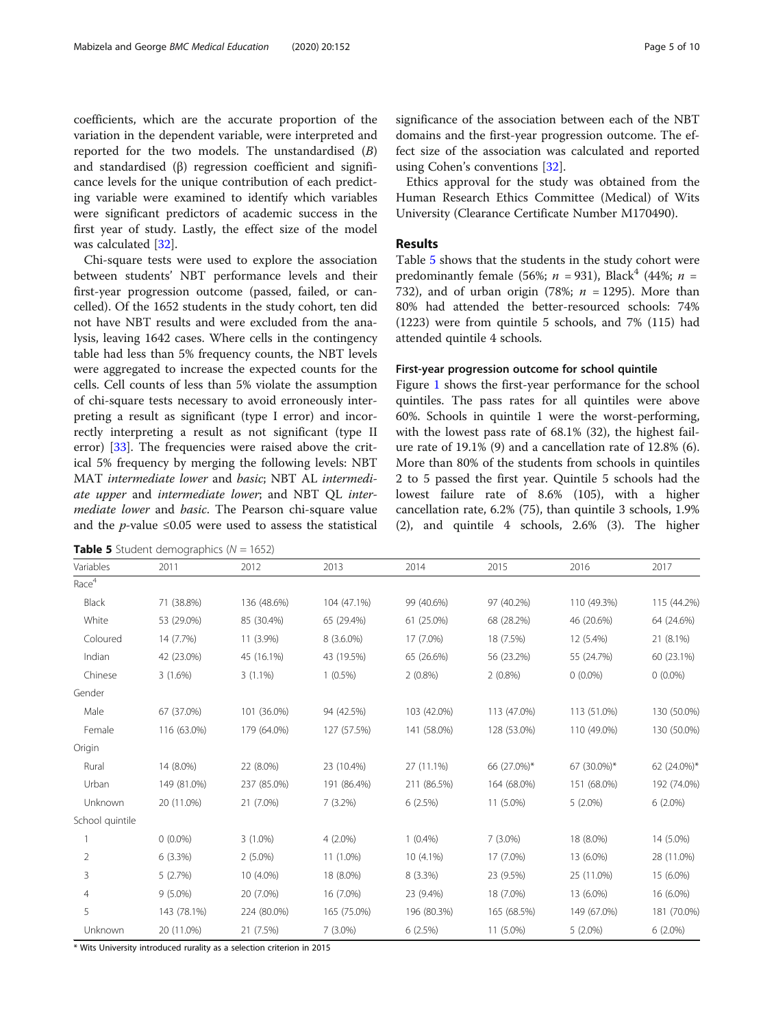coefficients, which are the accurate proportion of the variation in the dependent variable, were interpreted and reported for the two models. The unstandardised  $(B)$ and standardised (β) regression coefficient and significance levels for the unique contribution of each predicting variable were examined to identify which variables were significant predictors of academic success in the first year of study. Lastly, the effect size of the model was calculated [[32](#page-9-0)].

Chi-square tests were used to explore the association between students' NBT performance levels and their first-year progression outcome (passed, failed, or cancelled). Of the 1652 students in the study cohort, ten did not have NBT results and were excluded from the analysis, leaving 1642 cases. Where cells in the contingency table had less than 5% frequency counts, the NBT levels were aggregated to increase the expected counts for the cells. Cell counts of less than 5% violate the assumption of chi-square tests necessary to avoid erroneously interpreting a result as significant (type I error) and incorrectly interpreting a result as not significant (type II error) [[33](#page-9-0)]. The frequencies were raised above the critical 5% frequency by merging the following levels: NBT MAT intermediate lower and basic; NBT AL intermediate upper and intermediate lower; and NBT QL intermediate lower and basic. The Pearson chi-square value and the *p*-value  $\leq 0.05$  were used to assess the statistical

**Table 5** Student demographics ( $N = 1652$ )

significance of the association between each of the NBT domains and the first-year progression outcome. The effect size of the association was calculated and reported using Cohen's conventions [\[32](#page-9-0)].

Ethics approval for the study was obtained from the Human Research Ethics Committee (Medical) of Wits University (Clearance Certificate Number M170490).

# Results

Table 5 shows that the students in the study cohort were predominantly female (56%;  $n = 931$ ), Black<sup>4</sup> (44%;  $n =$ 732), and of urban origin (78%;  $n = 1295$ ). More than 80% had attended the better-resourced schools: 74% (1223) were from quintile 5 schools, and 7% (115) had attended quintile 4 schools.

# First-year progression outcome for school quintile

Figure [1](#page-5-0) shows the first-year performance for the school quintiles. The pass rates for all quintiles were above 60%. Schools in quintile 1 were the worst-performing, with the lowest pass rate of 68.1% (32), the highest failure rate of 19.1% (9) and a cancellation rate of 12.8% (6). More than 80% of the students from schools in quintiles 2 to 5 passed the first year. Quintile 5 schools had the lowest failure rate of 8.6% (105), with a higher cancellation rate, 6.2% (75), than quintile 3 schools, 1.9% (2), and quintile 4 schools, 2.6% (3). The higher

| Variables         | 2011        | 2012        | 2013        | 2014        | 2015        | 2016        | 2017        |
|-------------------|-------------|-------------|-------------|-------------|-------------|-------------|-------------|
| Race <sup>4</sup> |             |             |             |             |             |             |             |
| Black             | 71 (38.8%)  | 136 (48.6%) | 104 (47.1%) | 99 (40.6%)  | 97 (40.2%)  | 110 (49.3%) | 115 (44.2%) |
| White             | 53 (29.0%)  | 85 (30.4%)  | 65 (29.4%)  | 61 (25.0%)  | 68 (28.2%)  | 46 (20.6%)  | 64 (24.6%)  |
| Coloured          | 14 (7.7%)   | 11 (3.9%)   | 8 (3.6.0%)  | 17 (7.0%)   | 18 (7.5%)   | 12 (5.4%)   | 21 (8.1%)   |
| Indian            | 42 (23.0%)  | 45 (16.1%)  | 43 (19.5%)  | 65 (26.6%)  | 56 (23.2%)  | 55 (24.7%)  | 60 (23.1%)  |
| Chinese           | $3(1.6\%)$  | $3(1.1\%)$  | $1(0.5\%)$  | $2(0.8\%)$  | $2(0.8\%)$  | $0(0.0\%)$  | $0(0.0\%)$  |
| Gender            |             |             |             |             |             |             |             |
| Male              | 67 (37.0%)  | 101 (36.0%) | 94 (42.5%)  | 103 (42.0%) | 113 (47.0%) | 113 (51.0%) | 130 (50.0%) |
| Female            | 116 (63.0%) | 179 (64.0%) | 127 (57.5%) | 141 (58.0%) | 128 (53.0%) | 110 (49.0%) | 130 (50.0%) |
| Origin            |             |             |             |             |             |             |             |
| Rural             | 14 (8.0%)   | 22 (8.0%)   | 23 (10.4%)  | 27 (11.1%)  | 66 (27.0%)* | 67 (30.0%)* | 62 (24.0%)* |
| Urban             | 149 (81.0%) | 237 (85.0%) | 191 (86.4%) | 211 (86.5%) | 164 (68.0%) | 151 (68.0%) | 192 (74.0%) |
| Unknown           | 20 (11.0%)  | 21 (7.0%)   | $7(3.2\%)$  | 6(2.5%)     | 11 (5.0%)   | $5(2.0\%)$  | $6(2.0\%)$  |
| School quintile   |             |             |             |             |             |             |             |
|                   | $0(0.0\%)$  | $3(1.0\%)$  | $4(2.0\%)$  | $1(0.4\%)$  | $7(3.0\%)$  | 18 (8.0%)   | 14 (5.0%)   |
| 2                 | $6(3.3\%)$  | $2(5.0\%)$  | 11 (1.0%)   | 10 (4.1%)   | 17 (7.0%)   | 13 (6.0%)   | 28 (11.0%)  |
| 3                 | 5(2.7%)     | 10 (4.0%)   | 18 (8.0%)   | 8 (3.3%)    | 23 (9.5%)   | 25 (11.0%)  | 15 (6.0%)   |
| 4                 | $9(5.0\%)$  | 20 (7.0%)   | 16 (7.0%)   | 23 (9.4%)   | 18 (7.0%)   | 13 (6.0%)   | 16 (6.0%)   |
| 5                 | 143 (78.1%) | 224 (80.0%) | 165 (75.0%) | 196 (80.3%) | 165 (68.5%) | 149 (67.0%) | 181 (70.0%) |
| Unknown           | 20 (11.0%)  | 21 (7.5%)   | $7(3.0\%)$  | 6(2.5%)     | 11 (5.0%)   | $5(2.0\%)$  | $6(2.0\%)$  |

\* Wits University introduced rurality as a selection criterion in 2015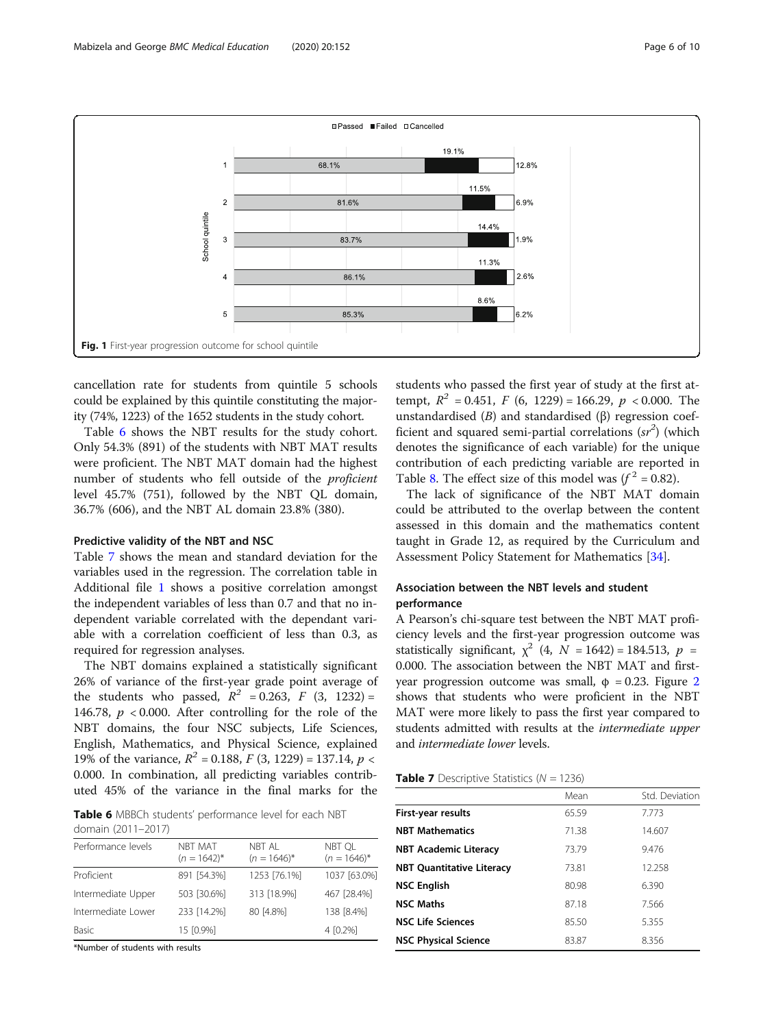<span id="page-5-0"></span>

cancellation rate for students from quintile 5 schools could be explained by this quintile constituting the majority (74%, 1223) of the 1652 students in the study cohort.

Table 6 shows the NBT results for the study cohort. Only 54.3% (891) of the students with NBT MAT results were proficient. The NBT MAT domain had the highest number of students who fell outside of the proficient level 45.7% (751), followed by the NBT QL domain, 36.7% (606), and the NBT AL domain 23.8% (380).

#### Predictive validity of the NBT and NSC

Table 7 shows the mean and standard deviation for the variables used in the regression. The correlation table in Additional file [1](#page-8-0) shows a positive correlation amongst the independent variables of less than 0.7 and that no independent variable correlated with the dependant variable with a correlation coefficient of less than 0.3, as required for regression analyses.

The NBT domains explained a statistically significant 26% of variance of the first-year grade point average of the students who passed,  $R^2 = 0.263$ ,  $F(3, 1232) =$ 146.78,  $p < 0.000$ . After controlling for the role of the NBT domains, the four NSC subjects, Life Sciences, English, Mathematics, and Physical Science, explained 19% of the variance,  $R^2 = 0.188$ ,  $F(3, 1229) = 137.14$ ,  $p <$ 0.000. In combination, all predicting variables contributed 45% of the variance in the final marks for the

Table 6 MBBCh students' performance level for each NBT domain (2011–2017)

| Performance levels | NBT MAT<br>$(n = 1642)^{*}$ | NBT AI<br>$(n = 1646)^{*}$ | NBT OL<br>$(n = 1646)^{*}$ |
|--------------------|-----------------------------|----------------------------|----------------------------|
| Proficient         | 891 [54.3%]                 | 1253 [76.1%]               | 1037 [63.0%]               |
| Intermediate Upper | 503 [30.6%]                 | 313 [18.9%]                | 467 [28.4%]                |
| Intermediate Lower | 233 [14.2%]                 | 80 [4.8%]                  | 138 [8.4%]                 |
| <b>Basic</b>       | 15 [0.9%]                   |                            | 4 [0.2%]                   |

\*Number of students with results

students who passed the first year of study at the first attempt,  $R^2 = 0.451$ , F (6, 1229) = 166.29, p < 0.000. The unstandardised  $(B)$  and standardised  $(β)$  regression coefficient and squared semi-partial correlations  $(sr^2)$  (which denotes the significance of each variable) for the unique contribution of each predicting variable are reported in Table [8.](#page-6-0) The effect size of this model was  $(f^2 = 0.82)$ .

The lack of significance of the NBT MAT domain could be attributed to the overlap between the content assessed in this domain and the mathematics content taught in Grade 12, as required by the Curriculum and Assessment Policy Statement for Mathematics [[34](#page-9-0)].

# Association between the NBT levels and student performance

A Pearson's chi-square test between the NBT MAT proficiency levels and the first-year progression outcome was statistically significant,  $\chi^2$  (4, N = 1642) = 184.513, p = 0.000. The association between the NBT MAT and firstyear progression outcome was small,  $φ = 0.23$  $φ = 0.23$  $φ = 0.23$ . Figure 2 shows that students who were proficient in the NBT MAT were more likely to pass the first year compared to students admitted with results at the *intermediate upper* and intermediate lower levels.

|  | <b>Table 7</b> Descriptive Statistics ( $N = 1236$ ) |  |  |  |
|--|------------------------------------------------------|--|--|--|
|--|------------------------------------------------------|--|--|--|

|                                  | Mean  | Std. Deviation |
|----------------------------------|-------|----------------|
| First-year results               | 65.59 | 7.773          |
| <b>NBT Mathematics</b>           | 71.38 | 14.607         |
| <b>NBT Academic Literacy</b>     | 73.79 | 9.476          |
| <b>NBT Quantitative Literacy</b> | 73.81 | 12.258         |
| <b>NSC English</b>               | 80.98 | 6.390          |
| <b>NSC Maths</b>                 | 87.18 | 7.566          |
| <b>NSC Life Sciences</b>         | 85.50 | 5.355          |
| <b>NSC Physical Science</b>      | 83.87 | 8.356          |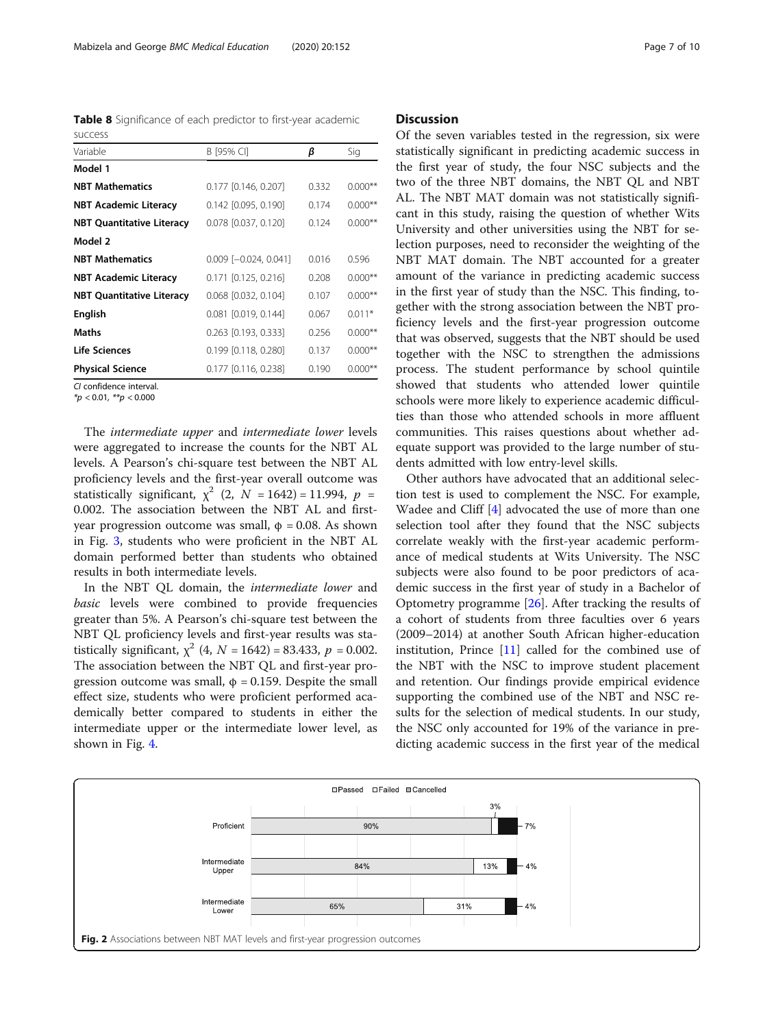<span id="page-6-0"></span>Table 8 Significance of each predictor to first-year academic success

| Variable                         | B [95% CI]                     | β     | Sig       |
|----------------------------------|--------------------------------|-------|-----------|
| Model 1                          |                                |       |           |
| <b>NBT Mathematics</b>           | 0.177 [0.146, 0.207]           | 0.332 | $0.000**$ |
| <b>NBT Academic Literacy</b>     | 0.142 [0.095, 0.190]           | 0.174 | $0.000**$ |
| <b>NBT Quantitative Literacy</b> | 0.078 [0.037, 0.120]           | 0.124 | $0.000**$ |
| Model 2                          |                                |       |           |
| <b>NBT Mathematics</b>           | $0.009$ [ $-0.024$ , $0.041$ ] | 0.016 | 0.596     |
| <b>NBT Academic Literacy</b>     | $0.171$ [0.125, 0.216]         | 0.208 | $0.000**$ |
| <b>NBT Quantitative Literacy</b> | 0.068 [0.032, 0.104]           | 0.107 | $0.000**$ |
| English                          | 0.081 [0.019, 0.144]           | 0.067 | $0.011*$  |
| Maths                            | 0.263 [0.193, 0.333]           | 0.256 | $0.000**$ |
| Life Sciences                    | 0.199 [0.118, 0.280]           | 0.137 | $0.000**$ |
| <b>Physical Science</b>          | $0.177$ [0.116, 0.238]         | 0.190 | $0.000**$ |
| CI confidence interval.          |                                |       |           |

 $*p < 0.01, **p < 0.000$ 

The intermediate upper and intermediate lower levels were aggregated to increase the counts for the NBT AL levels. A Pearson's chi-square test between the NBT AL proficiency levels and the first-year overall outcome was statistically significant,  $\chi^2$  (2, N = 1642) = 11.994, p = 0.002. The association between the NBT AL and firstyear progression outcome was small,  $φ = 0.08$ . As shown in Fig. [3](#page-7-0), students who were proficient in the NBT AL domain performed better than students who obtained results in both intermediate levels.

In the NBT QL domain, the intermediate lower and basic levels were combined to provide frequencies greater than 5%. A Pearson's chi-square test between the NBT QL proficiency levels and first-year results was statistically significant,  $\chi^2$  (4, N = 1642) = 83.433, p = 0.002. The association between the NBT QL and first-year progression outcome was small,  $\phi = 0.159$ . Despite the small effect size, students who were proficient performed academically better compared to students in either the intermediate upper or the intermediate lower level, as shown in Fig. [4](#page-7-0).

## **Discussion**

Of the seven variables tested in the regression, six were statistically significant in predicting academic success in the first year of study, the four NSC subjects and the two of the three NBT domains, the NBT QL and NBT AL. The NBT MAT domain was not statistically significant in this study, raising the question of whether Wits University and other universities using the NBT for selection purposes, need to reconsider the weighting of the NBT MAT domain. The NBT accounted for a greater amount of the variance in predicting academic success in the first year of study than the NSC. This finding, together with the strong association between the NBT proficiency levels and the first-year progression outcome that was observed, suggests that the NBT should be used together with the NSC to strengthen the admissions process. The student performance by school quintile showed that students who attended lower quintile schools were more likely to experience academic difficulties than those who attended schools in more affluent communities. This raises questions about whether adequate support was provided to the large number of students admitted with low entry-level skills.

Other authors have advocated that an additional selection test is used to complement the NSC. For example, Wadee and Cliff [\[4](#page-9-0)] advocated the use of more than one selection tool after they found that the NSC subjects correlate weakly with the first-year academic performance of medical students at Wits University. The NSC subjects were also found to be poor predictors of academic success in the first year of study in a Bachelor of Optometry programme [\[26](#page-9-0)]. After tracking the results of a cohort of students from three faculties over 6 years (2009–2014) at another South African higher-education institution, Prince [[11](#page-9-0)] called for the combined use of the NBT with the NSC to improve student placement and retention. Our findings provide empirical evidence supporting the combined use of the NBT and NSC results for the selection of medical students. In our study, the NSC only accounted for 19% of the variance in predicting academic success in the first year of the medical

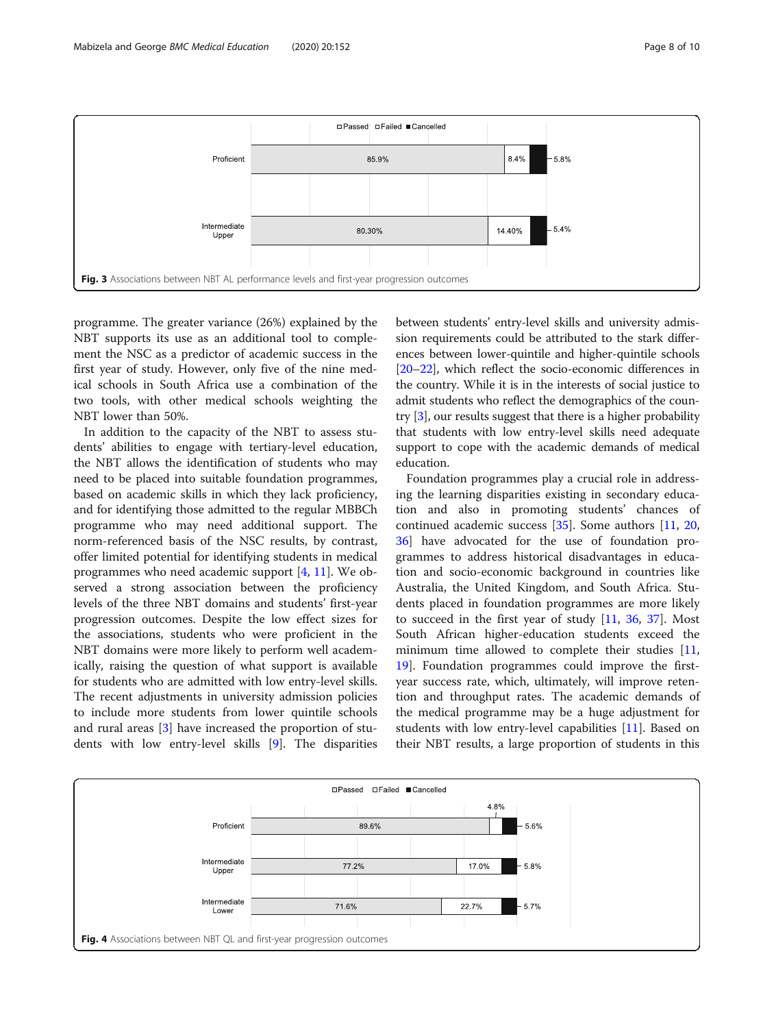<span id="page-7-0"></span>

programme. The greater variance (26%) explained by the NBT supports its use as an additional tool to complement the NSC as a predictor of academic success in the first year of study. However, only five of the nine medical schools in South Africa use a combination of the two tools, with other medical schools weighting the NBT lower than 50%.

In addition to the capacity of the NBT to assess students' abilities to engage with tertiary-level education, the NBT allows the identification of students who may need to be placed into suitable foundation programmes, based on academic skills in which they lack proficiency, and for identifying those admitted to the regular MBBCh programme who may need additional support. The norm-referenced basis of the NSC results, by contrast, offer limited potential for identifying students in medical programmes who need academic support [[4,](#page-9-0) [11](#page-9-0)]. We observed a strong association between the proficiency levels of the three NBT domains and students' first-year progression outcomes. Despite the low effect sizes for the associations, students who were proficient in the NBT domains were more likely to perform well academically, raising the question of what support is available for students who are admitted with low entry-level skills. The recent adjustments in university admission policies to include more students from lower quintile schools and rural areas [[3\]](#page-9-0) have increased the proportion of students with low entry-level skills [[9\]](#page-9-0). The disparities between students' entry-level skills and university admission requirements could be attributed to the stark differences between lower-quintile and higher-quintile schools [[20](#page-9-0)–[22\]](#page-9-0), which reflect the socio-economic differences in the country. While it is in the interests of social justice to admit students who reflect the demographics of the country [\[3](#page-9-0)], our results suggest that there is a higher probability that students with low entry-level skills need adequate support to cope with the academic demands of medical education.

Foundation programmes play a crucial role in addressing the learning disparities existing in secondary education and also in promoting students' chances of continued academic success [[35\]](#page-9-0). Some authors [[11,](#page-9-0) [20](#page-9-0), [36\]](#page-9-0) have advocated for the use of foundation programmes to address historical disadvantages in education and socio-economic background in countries like Australia, the United Kingdom, and South Africa. Students placed in foundation programmes are more likely to succeed in the first year of study [[11](#page-9-0), [36,](#page-9-0) [37\]](#page-9-0). Most South African higher-education students exceed the minimum time allowed to complete their studies [[11](#page-9-0), [19\]](#page-9-0). Foundation programmes could improve the firstyear success rate, which, ultimately, will improve retention and throughput rates. The academic demands of the medical programme may be a huge adjustment for students with low entry-level capabilities [[11\]](#page-9-0). Based on their NBT results, a large proportion of students in this

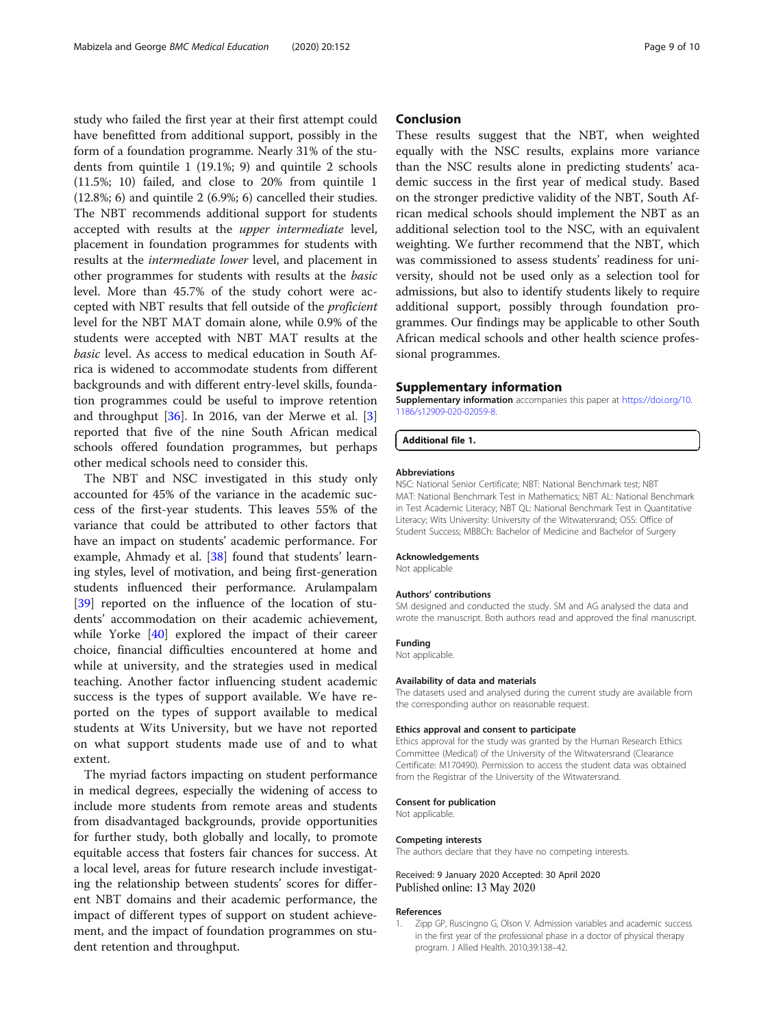<span id="page-8-0"></span>study who failed the first year at their first attempt could have benefitted from additional support, possibly in the form of a foundation programme. Nearly 31% of the students from quintile 1 (19.1%; 9) and quintile 2 schools (11.5%; 10) failed, and close to 20% from quintile 1 (12.8%; 6) and quintile 2 (6.9%; 6) cancelled their studies. The NBT recommends additional support for students accepted with results at the upper intermediate level, placement in foundation programmes for students with results at the intermediate lower level, and placement in other programmes for students with results at the basic level. More than 45.7% of the study cohort were accepted with NBT results that fell outside of the proficient level for the NBT MAT domain alone, while 0.9% of the students were accepted with NBT MAT results at the basic level. As access to medical education in South Africa is widened to accommodate students from different backgrounds and with different entry-level skills, foundation programmes could be useful to improve retention and throughput [\[36](#page-9-0)]. In 2016, van der Merwe et al. [\[3](#page-9-0)] reported that five of the nine South African medical schools offered foundation programmes, but perhaps other medical schools need to consider this.

The NBT and NSC investigated in this study only accounted for 45% of the variance in the academic success of the first-year students. This leaves 55% of the variance that could be attributed to other factors that have an impact on students' academic performance. For example, Ahmady et al. [\[38](#page-9-0)] found that students' learning styles, level of motivation, and being first-generation students influenced their performance. Arulampalam [[39\]](#page-9-0) reported on the influence of the location of students' accommodation on their academic achievement, while Yorke [[40](#page-9-0)] explored the impact of their career choice, financial difficulties encountered at home and while at university, and the strategies used in medical teaching. Another factor influencing student academic success is the types of support available. We have reported on the types of support available to medical students at Wits University, but we have not reported on what support students made use of and to what extent.

The myriad factors impacting on student performance in medical degrees, especially the widening of access to include more students from remote areas and students from disadvantaged backgrounds, provide opportunities for further study, both globally and locally, to promote equitable access that fosters fair chances for success. At a local level, areas for future research include investigating the relationship between students' scores for different NBT domains and their academic performance, the impact of different types of support on student achievement, and the impact of foundation programmes on student retention and throughput.

# Conclusion

These results suggest that the NBT, when weighted equally with the NSC results, explains more variance than the NSC results alone in predicting students' academic success in the first year of medical study. Based on the stronger predictive validity of the NBT, South African medical schools should implement the NBT as an additional selection tool to the NSC, with an equivalent weighting. We further recommend that the NBT, which was commissioned to assess students' readiness for university, should not be used only as a selection tool for admissions, but also to identify students likely to require additional support, possibly through foundation programmes. Our findings may be applicable to other South African medical schools and other health science professional programmes.

## Supplementary information

Supplementary information accompanies this paper at [https://doi.org/10.](https://doi.org/10.1186/s12909-020-02059-8) [1186/s12909-020-02059-8](https://doi.org/10.1186/s12909-020-02059-8).

Additional file 1.

## Abbreviations

NSC: National Senior Certificate; NBT: National Benchmark test; NBT MAT: National Benchmark Test in Mathematics; NBT AL: National Benchmark in Test Academic Literacy; NBT QL: National Benchmark Test in Quantitative Literacy; Wits University: University of the Witwatersrand; OSS: Office of Student Success; MBBCh: Bachelor of Medicine and Bachelor of Surgery

#### Acknowledgements

Not applicable

#### Authors' contributions

SM designed and conducted the study. SM and AG analysed the data and wrote the manuscript. Both authors read and approved the final manuscript.

#### Funding

Not applicable.

#### Availability of data and materials

The datasets used and analysed during the current study are available from the corresponding author on reasonable request.

#### Ethics approval and consent to participate

Ethics approval for the study was granted by the Human Research Ethics Committee (Medical) of the University of the Witwatersrand (Clearance Certificate: M170490). Permission to access the student data was obtained from the Registrar of the University of the Witwatersrand.

#### Consent for publication

Not applicable.

#### Competing interests

The authors declare that they have no competing interests.

Received: 9 January 2020 Accepted: 30 April 2020 Published online: 13 May 2020

#### References

Zipp GP, Ruscingno G, Olson V. Admission variables and academic success in the first year of the professional phase in a doctor of physical therapy program. J Allied Health. 2010;39:138–42.